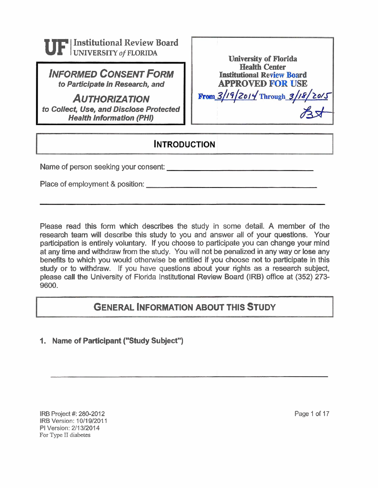

**INFORMED CONSENT FORM to Participate in Research, and** 

**AUTHORIZATION to Collect, Use, and Disclose Protected Health Information (PHI)** 

| <b>University of Florida</b>         |
|--------------------------------------|
| <b>Health Center</b>                 |
| <b>Institutional Review Board</b>    |
| <b>APPROVED FOR USE</b>              |
| From $3/19/2014$ Through $3/18/2015$ |
|                                      |

# **INTRODUCTION**

Name of person seeking your consent:

Place of employment & position:

Please read this form which describes the study in some detail. A member of the research team will describe this study to you and answer all of your questions. Your participation is entirely voluntary. If you choose to participate you **can** change your mind at any time and withdraw from the study. You will not be penalized in any way or lose any benefits to which you would otherwise be entitled if you choose not to participate in this study or to withdraw. If you have questions about your rights as a research subject, please call the University of Florida Institutional Review Board (IRB) office at (352) 273- 9600.

## **GENERAL INFORMATION ABOUT THIS STUDY**

#### **1. Name of Participant ("Study Subject")**

**IRB Project #: 280-2012 IRB Version: 10/19/2011 PI Version:** 211312014 **For** Type **I1 diabetes** 

Page 1 of 17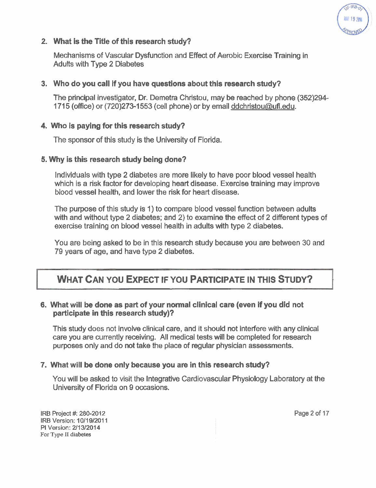

#### 2. What is the Title of this research study?

Mechanisms of Vascular Dysfunction and Effect of Aerobic Exercise Training in Adults with Type 2 Diabetes

#### 3. Who do you call if you have questions about this research study?

The principal investigator, Dr. Demetra Christou, may be reached by phone (352)294- 1715 (office) or (720)273-1553 (cell phone) or by email ddchristou@ufl.edu.

#### 4. Who is paying for this research study?

The sponsor of this study is the University of Florida.

#### 5. Why is this research study being done?

Individuals with type 2 diabetes are more likely to have poor blood vessel health which is a risk factor for developing heart disease. Exercise training may improve blood vessel health, and lower the risk for heart disease.

The purpose of this study is 1) to compare blood vessel function between adults with and without type 2 diabetes; and 2) to examine the effect of 2 different types of exercise training on blood vessel health in adults with type 2 diabetes. **h study being done?**<br>
be 2 diabetes are more like<br>
or for developing heart dise<br>
h, and lower the risk for he<br>
s study is 1) to compare ble<br>
pe 2 diabetes; and 2) to en<br>
n blood vessel health in ad<br>
ed to be in this resea diabetes are more likely to ha<br>
or developing heart disease. E<br>
nd lower the risk for heart dise<br>
ddy is 1) to compare blood ves<br>
ddy is 1) to compare blood ves<br>
diabetes; and 2) to examine<br>
bod vessel health in adults wit disease. Exercise trainin<br>
r heart disease.<br>
e blood vessel function b<br>
o examine the effect of 2<br>
n adults with type 2 diabe<br>
h study because you are<br>
s.<br> **PARTICIPATE IN THI**<br>
I clinical care (even if you oor blood vessel health<br>se training may improve<br>unction between adults<br>ffect of 2 different types of<br>e 2 diabetes.<br>Prou are between 30 and<br>E IN THIS STUDY?

You are being asked to be in this research study because you are between 30 and 79 years of age, and have type 2 diabetes.

# **WHAT CAN YOU EXPECT IF YOU PARTICIPATE IN THIS STUDY?**

#### 6. What will **be** done as part of your normal clinical care (even if you did not participate in this research study)?

This study does not involve clinical care, and it should not interfere with any clinical care you are currently receiving. All medical tests will be completed for research purposes only and do not take the place of regular physician assessments.

#### 7. What will be done only because you are in this research study?

You will be asked to visit the Integrative Cardiovascular Physiology Laboratory at the University of Florida on 9 occasions.

IRB Project #: 280-2012 **IRB Version: 10/19/2011** PI Version: 2/13/2014 For **Type I1 diabetes** 

Page 2 of 17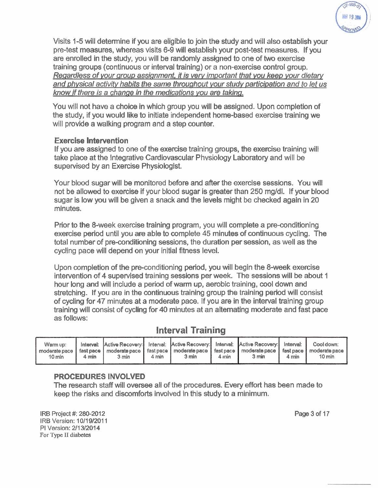

Visits 1-5 will determine if you are eligible to join the study and will also establish your pre-test measures, whereas visits 6-9 will establish your post-test measures. If you are enrolled in the study, you will be randomly assigned to one of two exercise training groups (continuous or interval training) or a non-exercise control group. Regardless of your group assignment, it is very important that you keep your dietary and physical activity habits the same throughout your study participation and to let us know if there is a change in the medications you are taking.

You will not have a choice in which group you will be assigned. Upon completion of the study, if you would like to initiate independent home-based exercise training we will provide a walking program and a step counter.

#### Exercise Intervention

If you are assigned to one of the exercise training groups, the exercise training will take place at the Integrative Cardiovascular Physiology Laboratory and will be supervised by an Exercise Physiologist.

Your blood sugar will be monitored before and after the exercise sessions. You will not be allowed to exercise if your blood sugar is greater than 250 mg/dl. If your blood sugar is low you will be given a snack and the levels might be checked again in 20 minutes.

Prior to the 8-week exercise training program, you will complete a pre-conditioning exercise period until you are able to complete 45 minutes of continuous cycling. The total number of pre-conditioning sessions, the duration per session, as well as the cycling pace will depend on your initial fitness level.

Upon completion of the pre-conditioning period, you will begin the 8-week exercise intervention of 4 supervised training sessions per week. The sessions will be about 1 hour long and will include a period of warm up, aerobic training, cool down and stretching. If you are in the continuous training group the training period will consist of cycling for 47 minutes at a moderate pace. If you are in the interval training group training will consist of cycling for 40 minutes at an alternating moderate and fast pace as follows:

# **Interval Training**

| Warm up:<br>10 min | $4 \text{ min}$ | 3 min | 4 min | 3 min | $4 \text{ min}$ | Interval: Active Recovery: Interval: Active Recovery: Interval: Active Recovery: Interval: Cool down:<br>moderate pace   fast pace   moderate pace   fast pace   moderate pace   fast pace   moderate pace   moderate pace<br>3 min | $4 \text{ min}$ | $10 \text{ min}$ |
|--------------------|-----------------|-------|-------|-------|-----------------|-------------------------------------------------------------------------------------------------------------------------------------------------------------------------------------------------------------------------------------|-----------------|------------------|
|--------------------|-----------------|-------|-------|-------|-----------------|-------------------------------------------------------------------------------------------------------------------------------------------------------------------------------------------------------------------------------------|-----------------|------------------|

#### PROCEDURES INVOLVED

The research staff will oversee all of the procedures. Every effort has been made to keep the risks and discomforts involved in this study to a minimum.

IRB **Project** #: **280-2012**  IRB **Version: 10/19/2011**  PI **Version: 2/13/2014 For Type I1 diabetes** 

**Page 3 of 17**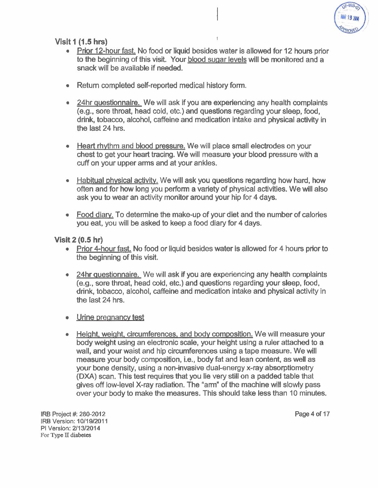

Visit 1 (1.5 **hrs)** <sup>I</sup>

• Prior 12-hour fast. No food or liquid besides water is allowed for 12 hours prior to the beginning of this visit. Your blood sugar levels will be monitored and a snack will be available if needed.

I

- Return completed self-reported medical history form.
- 24hr auestionnaire. We will ask if you are experiencing any health complaints (e.g., sore throat, head cold, etc.) and questions regarding your sleep, food, drink, tobacco, alcohol, caffeine and medication intake and physical activity in the last 24 hrs.
- Heart rhythm and blood pressure. We will place small electrodes on your chest to get your heart tracing. We will measure your blood pressure with a cuff on your upper arms and at your ankles.
- Habitual phvsical activitv. We will ask you questions regarding how hard, how often and for how long you perform a variety of physical activities. We will also ask you to wear an activity monitor around your hip for 4 days.
- Food diary. To determine the make-up of your diet and the number of calories you eat, you will be asked to keep a food diary for 4 days.

Visit 2 (0.5 hr)

- Prior 4-hour fast. No food or liquid besides water is allowed for 4 hours prior to the beginning of this visit.
- 24hr questionnaire. We will ask if you are experiencing any health complaints (e.g., sore throat, head cold, etc.) and questions regarding your sleep, food, drink, tobacco, alcohol, caffeine and medication intake and physical activity in the last 24 hrs.
- Urine pregnancy test
- Height, weight, circumferences, and body composition. We will measure your body weight using an electronic scale, your height using a ruler attached to a wall, and your waist and hip circumferences using a tape measure. We will measure your body composition, i.e., body fat and lean content, as well as your bone density, using a non-invasive dual-energy x-ray absorptiometry (DXA) scan. This test requires that you lie very still on a padded table that gives off low-level X-ray radiation. The "arm" of the machine will slowly pass over your body to make the measures. This should take less than 10 minutes.

**IRB Project** #: **280-2012 IRB Version: 1011 91201 1 PI Version: 211 312014**  For **Type I1 diabetes** 

**Page 4 of 17**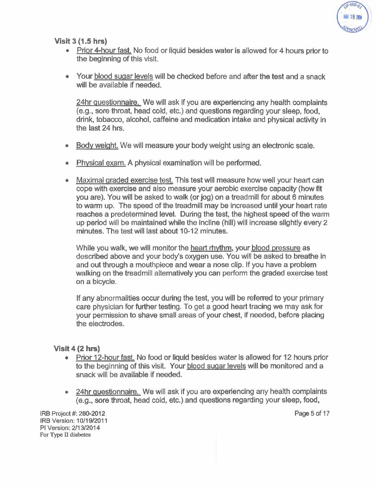

Visit 3 (1.5 **hrs)** 

- Prior 4-hour fast. No food or liquid besides water is allowed for 4 hours prior to the beginning of this visit.
- Your blood sugar levels will be checked before and after the test and a snack will be available if needed.

24hr questionnaire. We will ask if you are experiencing any health complaints (e.g., sore throat, head cold, etc.) and questions regarding your sleep, food, drink, tobacco, alcohol, caffeine and medication intake and physical activity in the last 24 hrs.

- Body weight. We will measure your body weight using an electronic scale.  $\bullet$
- Phvsical exam. A physical examination will be performed.
- Maximal araded exercise test. This test will measure how well your heart can cope with exercise and also measure your aerobic exercise capacity (how fit you are). You will be asked to walk (or jog) on a treadmill for about 6 minutes to warm up. The speed of the treadmill may be increased until your heart rate reaches a predetermined level. During the test, the highest speed of the warm up period will be maintained while the incline (hill) will increase slightly every 2 minutes. The test will last about 10-12 minutes.

While you walk, we will monitor the heart rhvthm, your blood pressure as described above and your body's oxygen use. You will be asked to breathe in and out through a mouthpiece and wear a nose clip. If you have a problem walking on the treadmill alternatively you can perform the graded exercise test on a bicycle.

If any abnormalities occur during the test, you will be referred to your primary care physician for further testing. To get a good heart tracing we may ask for your permission to shave small areas of your chest, if needed, before placing the electrodes.

#### Visit 4 (2 **hrs)**

- Prior 12-hour fast. No food or liquid besides water is allowed for 12 hours prior to the beginning of this visit. Your blood suaar levels will be monitored and a snack will be available if needed.
- 24hr auestionnaire. We will ask if you are experiencing any health complaints (e.g., sore throat, head cold, etc.) and questions regarding your sleep, food,

IRB **Project** #: **280-2012**  IRB **Version: 10/19/2011**  PI **Version: 21131201** 4 **For Type I1 diabetes** 

Page 5 **of 17**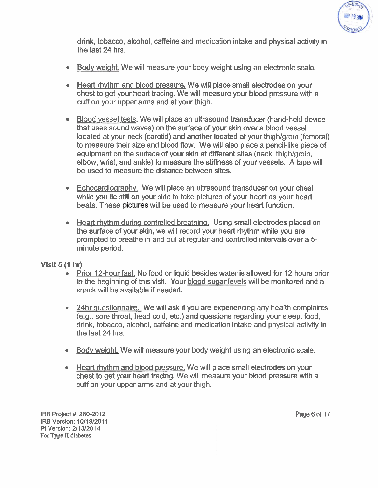

drink, tobacco, alcohol, caffeine and medication intake and physical activity in the last 24 hrs.

- Body weight. We will measure your body weight using an electronic scale.
- Heart rhythm and blood pressure. We will place small electrodes on your chest to get your heart tracing. We will measure your blood pressure with a cuff on your upper arms and at your thigh.
- Blood vessel tests. We will place an ultrasound transducer (hand-held device that uses sound waves) on the surface of your skin over a blood vessel located at your neck (carotid) and another located at your thigh/groin (femoral) to measure their size and blood flow. We will also place a pencil-like piece of equipment on the surface of your skin at different sites (neck, thigh/groin, elbow, wrist, and ankle) to measure the stiffness of your vessels. A tape will be used to measure the distance between sites.
- Echocardiography. We will place an ultrasound transducer on your chest while you lie still on your side to take pictures of your heart as your heart beats. These pictures will be used to measure your heart function.
- Heart rhythm during controlled breathing. Using small electrodes placed on the surface of your skin, we will record your heart rhythm while you are prompted to breathe in and out at regular and controlled intervals over a **5**  minute period.

#### **Visit 5 (1 hr)**

- Prior 12-hour fast. No food or liquid besides water is allowed for 12 hours prior to the beginning of this visit. Your blood suaar levels will be monitored and a snack will be available if needed.
- 24hr questionnaire. We will ask if you are experiencing any health complaints (e.g., sore throat, head cold, etc.) and questions regarding your sleep, food, drink, tobacco, alcohol, caffeine and medication intake and physical activity in the last 24 hrs.
- Body weight. We will measure your body weight using an electronic scale.
- Heart rhythm and blood pressure. We will place small electrodes on your chest to get your heart tracing. We will measure your blood pressure with a cuff on your upper arms and at your thigh.

IRB Project #: **280-2012**  IRB Version: **10/19/2011**  PI Version: **2/13/2014 For Type I1 diabetes** 

Page 6 of 17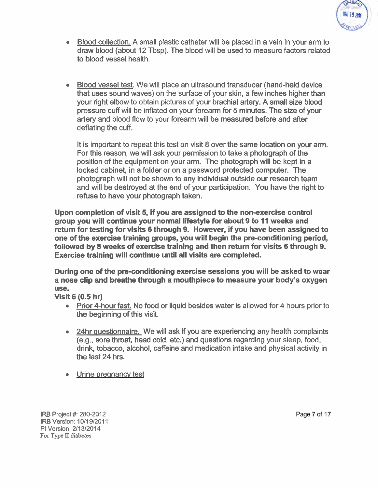

- Blood collection. A small plastic catheter will be placed in a vein in your arm to draw blood (about 12 Tbsp). The blood will be used to measure factors related to blood vessel health.
- Blood vessel test. We will place an ultrasound transducer (hand-held device that uses sound waves) on the surface of your skin, a few inches higher than your right elbow to obtain pictures of your brachial artery. A small size blood pressure cuff will be inflated on your forearm for 5 minutes. The size of your artery and blood flow to your forearm will be measured before and after deflating the cuff.

It is important to repeat this test on visit 8 over the same location on your arm. For this reason, we will ask your permission to take a photograph of the position of the equipment on your arm. The photograph will be kept in a locked cabinet, in a folder or on a password protected computer. The photograph will not be shown to any individual outside our research team and will be destroyed at the end of your participation. You have the right to refuse to have your photograph taken.

Upon completion of visit 5, if you are assigned to the nonexercise control group you will continue your normal lifestyle for about 9 to 11 weeks and return for testing for visits 6 through 9. However, if you have been assigned to one of the exercise training groups, you will begin the preconditioning period, followed by 8 weeks of exercise training and then return for visits 6 through 9. Exercise training will continue until all visits are completed.

During one of the pre-conditioning exercise sessions you will be asked to wear a nose clip and breathe through a mouthpiece to measure your body's oxygen use.

Visit 6 (0.5 hr)

- Prior 4-hour fast. No food or liquid besides water is allowed for 4 hours prior to the beginning of this visit.
- 24hr questionnaire. We will ask if you are experiencing any health complaints (e.g., sore throat, head cold, etc.) and questions regarding your sleep, food, drink, tobacco, alcohol, caffeine and medication intake and physical activity in the last 24 hrs.
- Urine pregnancy test

**IRB Project #: 280-2012** IRB Version: 10/19/2011 PI Version: 2/13/2014 **For Type I1 diabetes**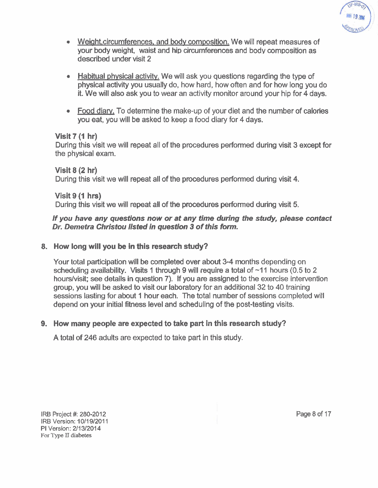

- Weight, circumferences, and body composition. We will repeat measures of your body weight, waist and hip circumferences and body composition as described under visit 2
- Habitual physical activity. We will ask you questions regarding the type of physical activity you usually do, how hard, how often and for how long you do it. We will also ask you to wear an activity monitor around your hip for 4 days.
- Food diary. To determine the make-up of your diet and the number of calories you eat, you will be asked to keep a food diary for 4 days.

#### **Visit 7 (1 hr)**

During this visit we will repeat all of the procedures performed during visit 3 except for the physical exam.

**Visit 8 (2 hr)**  During this visit we will repeat all of the procedures performed during visit 4.

**Visit 9 (1 hrs)** 

During this visit we will repeat all of the procedures performed during visit 5.

# **If you have any questions now or at any time during the study, please contact**  If you ha<mark>ve any questions now or at any time during the stu<br>Dr. Demetra Christou list<mark>ed in question</mark> 3 of this form.</mark>

#### **8. How long will you be in this research study?**

Your total participation will be completed over about 3-4 months depending on scheduling availability. Visits 1 through 9 will require a total of  $~11$  hours (0.5 to 2 hourslvisit; see details in question 7). If you are assigned to the exercise intervention group, you will be asked to visit our laboratory for an additional 32 to 40 training sessions lasting for about 1 hour each. The total number of sessions completed will depend on your initial ffiness level and scheduling of the post-testing visits.

### **9. How** many **people are expected to take part in this research study?**

A total of 246 adults are expected to take part in this study.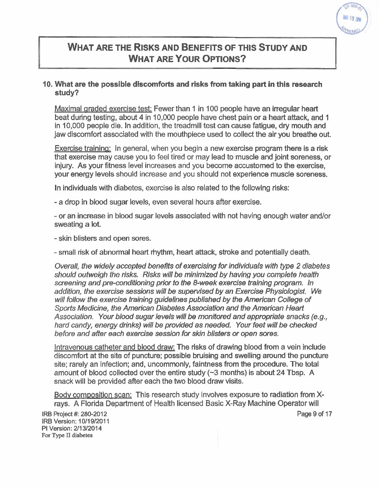

# **WHAT ARE THE RISKS AND BENEFITS OF THIS STUDY AND WHAT ARE YOUR OPTIONS?**

#### 10. What are the possible discomforts and risks from taking part in this research study?

Maximal graded exercise test: Fewer than 1 in 100 people have an irregular heart beat during testing, about 4 in 10,000 people have chest pain or a heart attack, and 1 in 10,000 people die. In addition, the treadmill test can cause fatigue, dry mouth and jaw discomfort associated with the mouthpiece used to collect the air you breathe out.

Exercise trainina: In general, when you begin a new exercise program there is a risk that exercise may cause you to feel tired or may lead to muscle and joint soreness, or injury. As your fitness level increases and you become accustomed to the exercise, your energy levels should increase and you should not experience muscle soreness.

In individuals with diabetes, exercise is also related to the following risks:

-a drop in blood sugar levels, even several hours after exercise.

- or an increase in blood sugar levels associated with not having enough water and/or sweating a lot.

- skin blisters and open sores.

- small risk of abnormal heart rhythm, heart attack, stroke and potentially death.

Overall, the widely accepted benefits of exercising for individuals with type 2 diabetes should outweigh the risks. Risks will be minimized by having you complefe health screening and pre-conditioning prior to the 8-week exercise training program. In addition, the exercise sessions will be supervised by an Exercise Physiologist. We will follow the exercise training guidelines published by the American College of Sports Medicine, the American Diabetes Association and the American Heart Association. Your blood sugar levels will be monitored and appropriate snacks (e.g., hard candy, energy drinks) will be provided as needed. Your feet will be checked before and after each exercise session for skin blisters or open sores.

Intravenous catheter and blood draw: The risks of drawing blood from a vein include discomfort at the site of puncture; possible bruising and swelling around the puncture site; rarely an infection; and, uncommonly, faintness from the procedure. The total amount of blood collected over the entire study  $(\sim 3$  months) is about 24 Tbsp. A snack will be provided after each the two blood draw visits.

Bodv composition scan: This research study involves exposure to radiation from Xrays. A Florida Department of Health licensed Basic X-Ray Machine Operatorwill

IRB **Project** #: 280-2012 IRB **Version:** 10/19/2011 PI **Version:** 211 31201 **4 For Type I1 diabetes** 

**Page** 9 **of** 17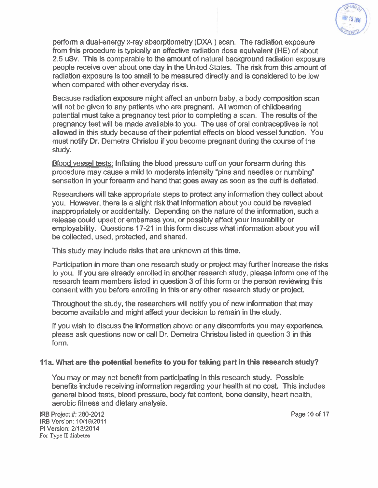

perform a dual-energy x-ray absorptiometry (DXA) scan. The radiation exposure from this procedure is typically an effective radiation dose eauivalent **(HE)** of about 2.5 uSv. This is comparable to the amount of natural background radiation exposure people receive over about one day in the United States. The risk from this amount of radiation exposure is too small to be measured directly and is considered to be low when compared with other everyday risks.

Because radiation exposure might affect an unborn baby, a body composition scan will not be given to any patients who are pregnant. All women of childbearing potential must take a pregnancy test prior to completing a scan. The results of the pregnancy test will be made available to you. The use of oral contraceptives is not allowed in this study because of their potential effects on blood vessel function. You must notify Dr. Demetra Christou if you become pregnant during the course of the study.

Blood vessel tests: Inflating the blood pressure cuff on your forearm during this procedure may cause a mild to moderate intensity "pins and needles or numbing" sensation in your forearm and hand that goes away as soon as the cuff is deflated.

Researchers will take appropriate steps to protect any information they collect about you. However, there is a slight risk that information about you could be revealed inappropriately or accidentally. Depending on the nature of the information, such a release could upset or embarrass you, or possibly affect your insurability or employability. Questions 17-21 in this form discuss what information about you will be collected, used, protected, and shared.

This study may include risks that are unknown at this time.

Participation in more than one research study or project may further increase the risks to you. If you are already enrolled in another research study, please inform one of the research team members listed in question 3 of this form or the person reviewing this consent with you before enrolling in this or any other research study or project.

Throughout the study, the researchers will notify you of new information that may become available and might affect your decision to remain in the study.

If you wish to discuss the information above or any discomforts you may experience, please ask questions now or call Dr. Demetra Christou listed in question 3 in this form.

#### 11a. What are the potential benefits to you for taking part in this research study?

You may or may not benefit from participating in this research study. Possible benefits include receiving information regarding your health at no cost. This includes general blood tests, blood pressure, body fat content, bone density, heart health, aerobic fitness and dietary analysis.

**IRB Project #: 280-2012 Page 10 of 17 IRB Version: 10/19/2011 PI Version: 2/13/2014 For Type I1 diabetes**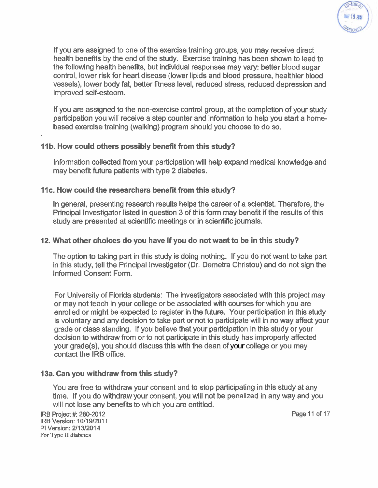

If you are assigned to one of the exercise training groups, you may receive direct health benefits by the end of the study. Exercise training has been shown to lead to the following health beneffis, but individual responses may vary: better blood sugar control, lower risk for heart disease (lower lipids and blood pressure, healthier blood vessels), lower body fat, better fitness level, reduced stress, reduced depression and improved self-esteem.

If you are assigned to the non-exercise control group, at the completion of your study participation you will receive a step counter and information to help you start a homebased exercise training (walking) program should you choose to do so. -

#### **11b. How could others possibly benefit from this study?**

Information collected from your participation will help expand medical knowledge and may benefit future patients with type 2 diabetes.

#### 11c. How could the researchers benefit from this study?

In general, presenting research results helps the career of a scientist. Therefore, the Principal Investigator listed in question 3 of this form may benefit if the results of this study are presented at scientific meetings or in scientific journals.

#### 12. What other choices do you have if you do not want to be in this study?

The option to taking part in this study is doing nothing. If you do not want to take part in this study, tell the Principal Investigator (Dr. Demetra Christou) and do not sign the Informed Consent Form.

For University of Florida students: The investigators associated with this project may or may not teach in your college or be associated with courses for which you are enrolled or might be expected to register in the future. Your participation in this study is voluntary and any decision to take part or not to participate will in no way affect your grade or class standing. If you believe that your participation in this study or your decision to withdraw from or to not participate in this study has improperly affected your grade(s), you should discuss this with the dean of your college or you may contact the IRB office.

#### 13a. Can you withdraw from this study?

You are free to withdraw your consent and to stop participating in this study at any time. If you do withdraw your consent, you will not be penalized in any way and you will not lose any benefits to which you are entitled.

**IRB Project** #: 280-2012 **Page** 11 **of** 17 **IRB Version:** 10/19/2011 **PI Version:** 2/13/2014 **For Type n diabetes**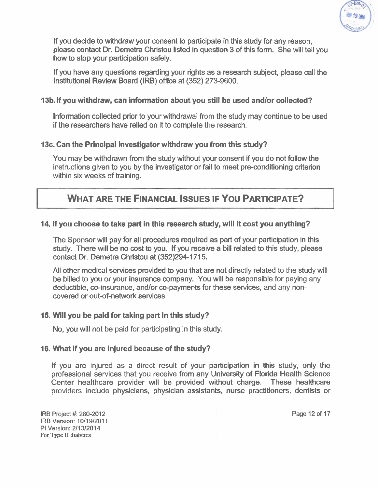

If you decide to withdraw your consent to participate in this study for any reason, please contact Dr. Demetra Christou listed in question 3 of this form. She will tell you how to stop your participation safely.

If you have any questions regarding your rights as a research subject, please call the Institutional Review Board (IRB) office at (352) 273-9600.

#### 13b. If you withdraw, can information about you still be used andlor collected?

Information collected prior to your withdrawal from the study may continue to be used if the researchers have relied on it to complete the research.

#### 13c. Can the Principal Investigator withdraw you from this study?

You may be withdrawn from the study without your consent if you do not follow the instructions given to you by the investigator or fail to meet pre-conditioning criterion within six weeks of training.

# **WHAT ARE THE FINANCIAL ISSUES IF YOU PARTICIPATE?**

#### 14. If you choose to take part in this research study, will it cost you anything?

The Sponsor will pay for all procedures required as part of your participation in this study. There will be no cost to you. If you receive a bill related to this study, please contact Dr. Demetra Christou at (352)294-1715.

All other medical services provided to you that are not directly related to the study will be billed to you or your insurance company. You will be responsible for paying any deductible, co-insurance, and/or co-payments for these services, and any noncovered or out-of-network services.

#### 15. Will you be paid for taking part in this study?

No, you will not be paid for participating in this study.

#### 16. What if you are injured because of the study?

If you are injured as a direct result of your participation in this study, only the professional services that you receive from any University of Florida Health Science Center healthcare provider will be provided without charge. These healthcare providers include physicians, physician assistants, nurse practitioners, dentists or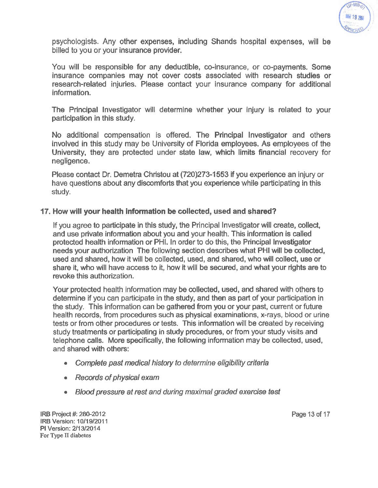

psychologists. Any other expenses, including Shands hospital expenses, will be billed to you or your insurance provider.

You will be responsible for any deductible, co-insurance, or co-payments. Some insurance companies may not cover costs associated with research studies or research-related injuries. Please contact your insurance company for additional information.

The Principal lnvestigator will determine whether your injury is related to your participation in this study.

No additional compensation is offered. The Principal lnvestigator and others involved in this study may be University of Florida employees. As employees of the University, they are protected under state law, which limits financial recovery for negligence.

Please contact Dr. Demetra Christou at **(720)273-1553** if you experience an injury or have questions about any discomforts that you experience while participating in this study.

#### 17. How will your health information be collected, used and shared?

If you agree to participate in this study, the Principal lnvestigator will create, collect, and use private information about you and your health. This information is called protected health information or PHI. In order to do this, the Principal lnvestigator needs your authorization The following section describes what PHI will be collected, used and shared, how it will be collected, used, and shared, who will collect, use or share it, who will have access to it, how it will be secured, and what your rights are to revoke this authorization.

Your protected health information may be collected, used, and shared with others to determine if you can participate in the study, and then as part of your participation in the study. This information can be gathered from you or your past, current or future health records, from procedures such as physical examinations, x-rays, blood or urine tests or from other procedures or tests. This information will be created by receiving study treatments or participating in study procedures, or from your study visits and telephone calls. More specifically, the following information may be collected, used, and shared with others:

- Complete past medical history to determine eligibility criteria
- Records of physical exam
- Blood pressure at rest and during maximal graded exercise test

**IRB Project #: 280-2012 IRE Version:** 10/19/2011 **PI Version:** 2/13/2014 **For Type I1 diabetes** 

**Page** 13 **of** 17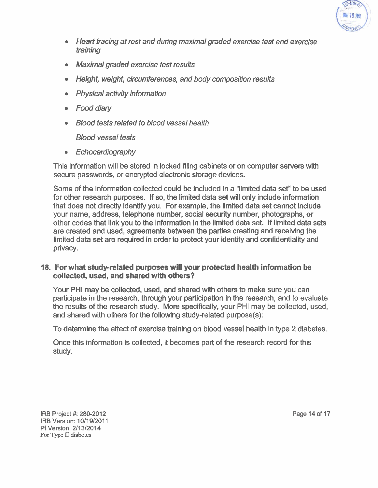

- Heart tracing at rest and during maximal graded exercise test and exercise training
- Maximal graded exercise test results
- Height, weight, circumferences, and body composition results
- Physical activity information
- Food diary  $\bullet$
- **Blood tests related to blood vessel health**

Blood vessel tests

**Echocardiography**  $\bullet$ 

This information will be stored in locked filing cabinets or on computer servers with secure passwords, or encrypted electronic storage devices.

Some of the information collected could be included in a "limited data set" to be used for other research purposes. If so, the limited data set will only include information that does not directlv identifv vou. For example. the limited data set cannot include your name, address, telephone number, social security number, photographs, or other codes that link you to the information in the limited data set. If limited data sets are created and used, agreements between the parties creating and receiving the limited data set are required in order to protect your identity and confidentiality and privacy.

#### 18. For what study-related purposes will your protected health information be collected, used, and shared with others?

Your PHI may be collected, used, and shared with others to make sure you can participate in the research, through your participation in the research, and to evaluate the results of the research study. More specifically, your PHI may be collected, used, and shared with others for the following study-related purpose(s):

To determine the effect of exercise training on blood vessel health in type 2 diabetes.

Once this information is collected, it becomes part of the research record for this study.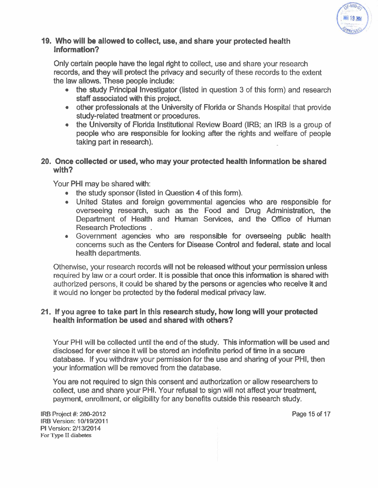

#### 19. Who will be allowed to collect, use, and share your protected health information?

Only certain people have the legal right to collect, use and share your research records, and they will protect the privacy and security of these records to the extent the law allows. These people include:

- the study Principal Investigator (listed in question 3 of this form) and research staff associated with this project.
- other professionals at the University of Florida or Shands Hospital that provide study-related treatment or procedures.
- the University of Florida Institutional Review Board (IRB; an IRB is a group of people who are responsible for looking after the rights and welfare of people taking part in research).

#### 20. Once collected or used, who may your protected health information be shared with?

Your PHI may be shared with:

- the study sponsor (listed in Question 4 of this form).
- United States and foreign governmental agencies who are responsible for overseeing research, such as the Food and Drug Administration, the Department of Health and Human Services, and the Office of Human Research Protections .
- Government agencies who are responsible for overseeing public health concerns such as the Centers for Disease Control and federal. state and local health departments.

Otherwise, your research records will not be released without your permission unless required by law or a court order. It is possible that once this information is shared with authorized persons, it could be shared by the persons or agencies who receive it and it would no longer be protected by the federal medical privacy law.

#### 21. If you agree to take part in this research study, how long will your protected health information be used and shared with others?

Your PHI will be collected until the end of the study. This information will be used and disclosed for ever since it will be stored an indefinite period of time in a secure database. If you withdraw your permission for the use and sharing of your PHI, then your information will be removed from the database.

You are not required to sign this consent and authorization or allow researchers to collect, use and share your PHI. Your refusal to sign will not affect your treatment, payment, enrollment, or eligibility for any benefits outside this research study.

**IRB Project #: 280-2012 IRB Version: 10/19/2011 PI Version: 2/13/2014 For Type 11 diabetes** 

**Page 15 of 17**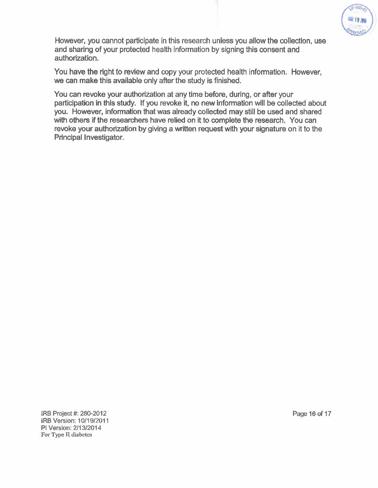

However, you cannot participate in this research unless you allow the collection, use and sharing of your protected health information by signing this consent and authorization.

You have the right to review and copy your protected health information. However, we can make this available only after the study is finished.

You can revoke your authorization at any time before, during, or after your participation in this study. If you revoke it, no new information will be collected about you. However, information that was already collected may still be used and shared with others if the researchers have relied on it to complete the research. You can revoke your authorization by giving a written request with your signature on it to the Principal Investigator.